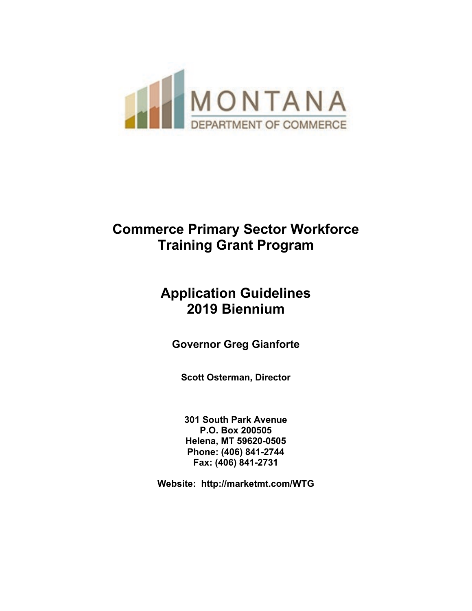

## **Commerce Primary Sector Workforce Training Grant Program**

## **Application Guidelines 2019 Biennium**

**Governor Greg Gianforte**

**Scott Osterman, Director**

**301 South Park Avenue P.O. Box 200505 Helena, MT 59620-0505 Phone: (406) 841-2744 Fax: (406) 841-2731**

**Website: http://marketmt.com/WTG**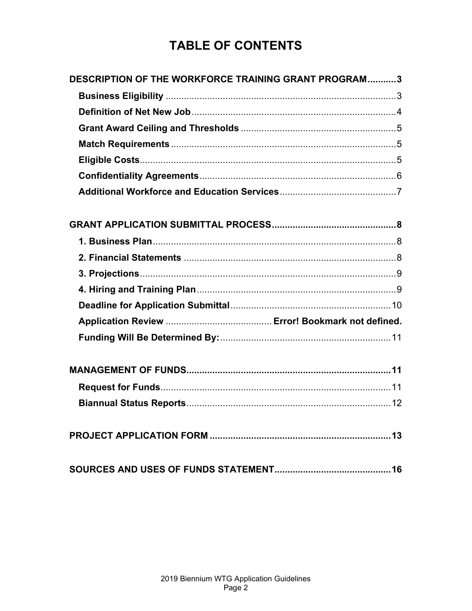## **TABLE OF CONTENTS**

| DESCRIPTION OF THE WORKFORCE TRAINING GRANT PROGRAM3 |  |
|------------------------------------------------------|--|
|                                                      |  |
|                                                      |  |
|                                                      |  |
|                                                      |  |
|                                                      |  |
|                                                      |  |
|                                                      |  |
|                                                      |  |
|                                                      |  |
|                                                      |  |
|                                                      |  |
|                                                      |  |
|                                                      |  |
|                                                      |  |
|                                                      |  |
|                                                      |  |
|                                                      |  |
|                                                      |  |
|                                                      |  |
|                                                      |  |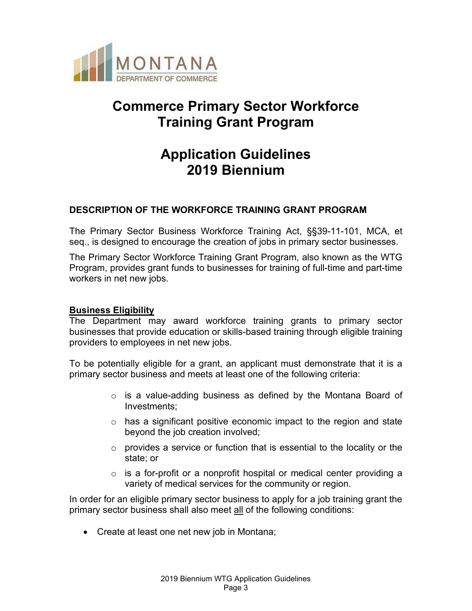

## **Commerce Primary Sector Workforce Training Grant Program**

## **Application Guidelines 2019 Biennium**

## <span id="page-2-0"></span>**DESCRIPTION OF THE WORKFORCE TRAINING GRANT PROGRAM**

The Primary Sector Business Workforce Training Act, §§39-11-101, MCA, et seq., is designed to encourage the creation of jobs in primary sector businesses.

The Primary Sector Workforce Training Grant Program, also known as the WTG Program, provides grant funds to businesses for training of full-time and part-time workers in net new jobs.

#### <span id="page-2-1"></span>**Business Eligibility**

The Department may award workforce training grants to primary sector businesses that provide education or skills-based training through eligible training providers to employees in net new jobs.

To be potentially eligible for a grant, an applicant must demonstrate that it is a primary sector business and meets at least one of the following criteria:

- $\circ$  is a value-adding business as defined by the Montana Board of Investments;
- $\circ$  has a significant positive economic impact to the region and state beyond the job creation involved;
- $\circ$  provides a service or function that is essential to the locality or the state; or
- $\circ$  is a for-profit or a nonprofit hospital or medical center providing a variety of medical services for the community or region.

In order for an eligible primary sector business to apply for a job training grant the primary sector business shall also meet all of the following conditions:

• Create at least one net new job in Montana;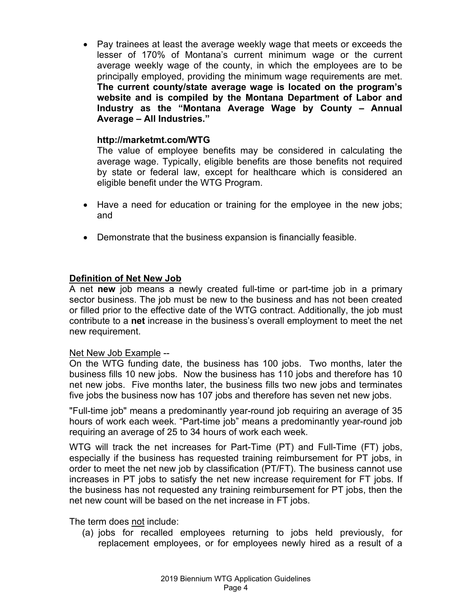• Pay trainees at least the average weekly wage that meets or exceeds the lesser of 170% of Montana's current minimum wage or the current average weekly wage of the county, in which the employees are to be principally employed, providing the minimum wage requirements are met. **The current county/state average wage is located on the program's website and is compiled by the Montana Department of Labor and Industry as the "Montana Average Wage by County – Annual Average – All Industries."**

#### **http://marketmt.com/WTG**

The value of employee benefits may be considered in calculating the average wage. Typically, eligible benefits are those benefits not required by state or federal law, except for healthcare which is considered an eligible benefit under the WTG Program.

- Have a need for education or training for the employee in the new jobs; and
- Demonstrate that the business expansion is financially feasible.

### <span id="page-3-0"></span>**Definition of Net New Job**

A net **new** job means a newly created full-time or part-time job in a primary sector business. The job must be new to the business and has not been created or filled prior to the effective date of the WTG contract. Additionally, the job must contribute to a **net** increase in the business's overall employment to meet the net new requirement.

#### Net New Job Example --

On the WTG funding date, the business has 100 jobs. Two months, later the business fills 10 new jobs. Now the business has 110 jobs and therefore has 10 net new jobs. Five months later, the business fills two new jobs and terminates five jobs the business now has 107 jobs and therefore has seven net new jobs.

"Full-time job" means a predominantly year-round job requiring an average of 35 hours of work each week. "Part-time job" means a predominantly year-round job requiring an average of 25 to 34 hours of work each week.

WTG will track the net increases for Part-Time (PT) and Full-Time (FT) jobs, especially if the business has requested training reimbursement for PT jobs, in order to meet the net new job by classification (PT/FT). The business cannot use increases in PT jobs to satisfy the net new increase requirement for FT jobs. If the business has not requested any training reimbursement for PT jobs, then the net new count will be based on the net increase in FT jobs.

The term does not include:

(a) jobs for recalled employees returning to jobs held previously, for replacement employees, or for employees newly hired as a result of a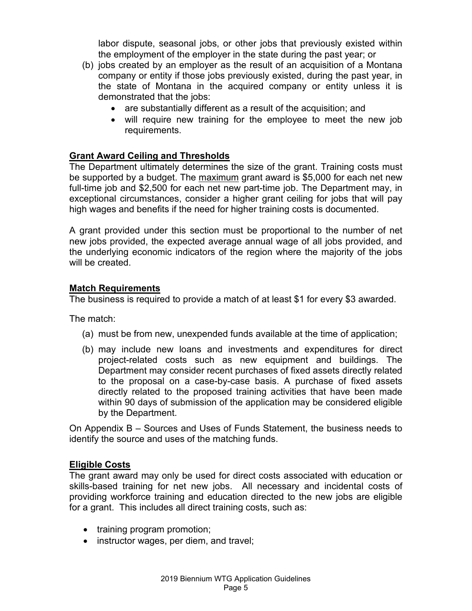labor dispute, seasonal jobs, or other jobs that previously existed within the employment of the employer in the state during the past year; or

- (b) jobs created by an employer as the result of an acquisition of a Montana company or entity if those jobs previously existed, during the past year, in the state of Montana in the acquired company or entity unless it is demonstrated that the jobs:
	- are substantially different as a result of the acquisition; and
	- will require new training for the employee to meet the new job requirements.

#### <span id="page-4-0"></span>**Grant Award Ceiling and Thresholds**

The Department ultimately determines the size of the grant. Training costs must be supported by a budget. The maximum grant award is \$5,000 for each net new full-time job and \$2,500 for each net new part-time job. The Department may, in exceptional circumstances, consider a higher grant ceiling for jobs that will pay high wages and benefits if the need for higher training costs is documented.

A grant provided under this section must be proportional to the number of net new jobs provided, the expected average annual wage of all jobs provided, and the underlying economic indicators of the region where the majority of the jobs will be created.

#### <span id="page-4-1"></span>**Match Requirements**

The business is required to provide a match of at least \$1 for every \$3 awarded.

The match:

- (a) must be from new, unexpended funds available at the time of application;
- (b) may include new loans and investments and expenditures for direct project-related costs such as new equipment and buildings. The Department may consider recent purchases of fixed assets directly related to the proposal on a case-by-case basis. A purchase of fixed assets directly related to the proposed training activities that have been made within 90 days of submission of the application may be considered eligible by the Department.

On Appendix B – Sources and Uses of Funds Statement, the business needs to identify the source and uses of the matching funds.

#### <span id="page-4-2"></span>**Eligible Costs**

The grant award may only be used for direct costs associated with education or skills-based training for net new jobs. All necessary and incidental costs of providing workforce training and education directed to the new jobs are eligible for a grant. This includes all direct training costs, such as:

- training program promotion;
- instructor wages, per diem, and travel;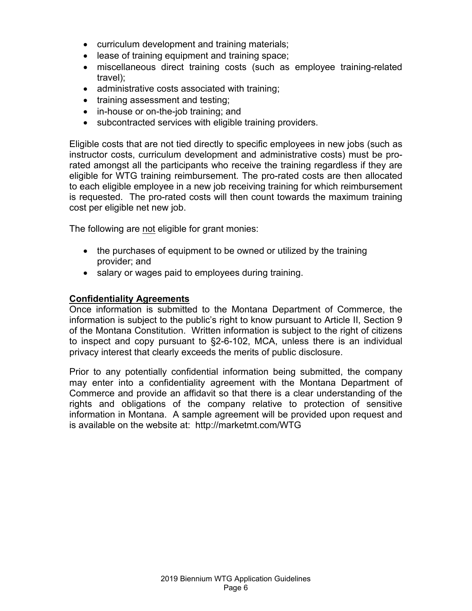- curriculum development and training materials;
- lease of training equipment and training space;
- miscellaneous direct training costs (such as employee training-related travel);
- administrative costs associated with training;
- training assessment and testing;
- in-house or on-the-job training; and
- subcontracted services with eligible training providers.

Eligible costs that are not tied directly to specific employees in new jobs (such as instructor costs, curriculum development and administrative costs) must be prorated amongst all the participants who receive the training regardless if they are eligible for WTG training reimbursement. The pro-rated costs are then allocated to each eligible employee in a new job receiving training for which reimbursement is requested. The pro-rated costs will then count towards the maximum training cost per eligible net new job.

The following are not eligible for grant monies:

- the purchases of equipment to be owned or utilized by the training provider; and
- salary or wages paid to employees during training.

#### <span id="page-5-0"></span>**Confidentiality Agreements**

Once information is submitted to the Montana Department of Commerce, the information is subject to the public's right to know pursuant to Article II, Section 9 of the Montana Constitution. Written information is subject to the right of citizens to inspect and copy pursuant to §2-6-102, MCA, unless there is an individual privacy interest that clearly exceeds the merits of public disclosure.

Prior to any potentially confidential information being submitted, the company may enter into a confidentiality agreement with the Montana Department of Commerce and provide an affidavit so that there is a clear understanding of the rights and obligations of the company relative to protection of sensitive information in Montana. A sample agreement will be provided upon request and is available on the website at: http://marketmt.com/WTG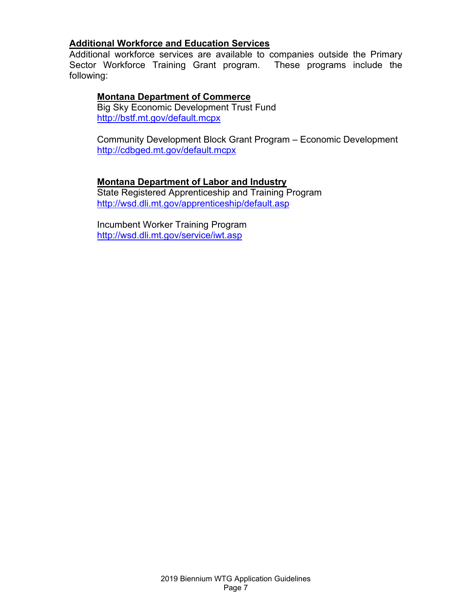## <span id="page-6-0"></span>**Additional Workforce and Education Services**

Additional workforce services are available to companies outside the Primary Sector Workforce Training Grant program. These programs include the following:

#### **Montana Department of Commerce**

Big Sky Economic Development Trust Fund <http://bstf.mt.gov/default.mcpx>

Community Development Block Grant Program – Economic Development <http://cdbged.mt.gov/default.mcpx>

#### **Montana Department of Labor and Industry**

State Registered Apprenticeship and Training Program <http://wsd.dli.mt.gov/apprenticeship/default.asp>

Incumbent Worker Training Program <http://wsd.dli.mt.gov/service/iwt.asp>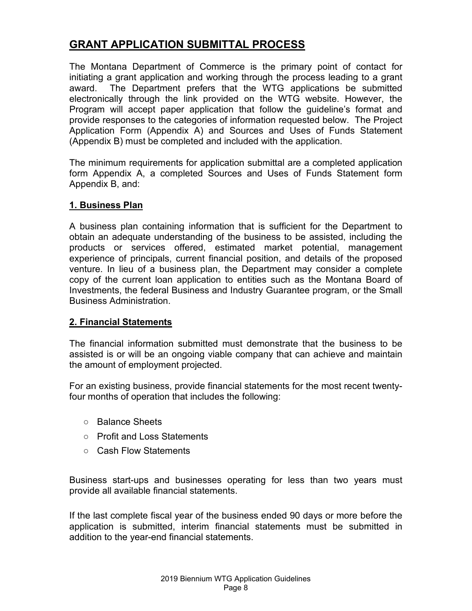## <span id="page-7-0"></span>**GRANT APPLICATION SUBMITTAL PROCESS**

The Montana Department of Commerce is the primary point of contact for initiating a grant application and working through the process leading to a grant award. The Department prefers that the WTG applications be submitted electronically through the link provided on the WTG website. However, the Program will accept paper application that follow the guideline's format and provide responses to the categories of information requested below. The Project Application Form (Appendix A) and Sources and Uses of Funds Statement (Appendix B) must be completed and included with the application.

The minimum requirements for application submittal are a completed application form Appendix A, a completed Sources and Uses of Funds Statement form Appendix B, and:

#### <span id="page-7-1"></span>**1. Business Plan**

A business plan containing information that is sufficient for the Department to obtain an adequate understanding of the business to be assisted, including the products or services offered, estimated market potential, management experience of principals, current financial position, and details of the proposed venture. In lieu of a business plan, the Department may consider a complete copy of the current loan application to entities such as the Montana Board of Investments, the federal Business and Industry Guarantee program, or the Small Business Administration.

#### <span id="page-7-2"></span>**2. Financial Statements**

The financial information submitted must demonstrate that the business to be assisted is or will be an ongoing viable company that can achieve and maintain the amount of employment projected.

For an existing business, provide financial statements for the most recent twentyfour months of operation that includes the following:

- Balance Sheets
- Profit and Loss Statements
- Cash Flow Statements

Business start-ups and businesses operating for less than two years must provide all available financial statements.

If the last complete fiscal year of the business ended 90 days or more before the application is submitted, interim financial statements must be submitted in addition to the year-end financial statements.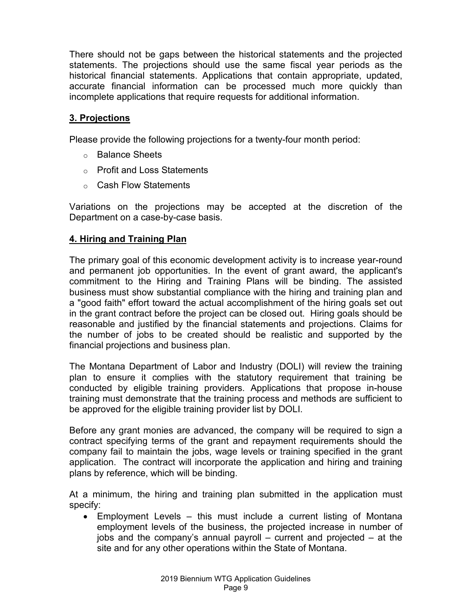There should not be gaps between the historical statements and the projected statements. The projections should use the same fiscal year periods as the historical financial statements. Applications that contain appropriate, updated, accurate financial information can be processed much more quickly than incomplete applications that require requests for additional information.

## <span id="page-8-0"></span>**3. Projections**

Please provide the following projections for a twenty-four month period:

- o Balance Sheets
- o Profit and Loss Statements
- o Cash Flow Statements

Variations on the projections may be accepted at the discretion of the Department on a case-by-case basis.

### <span id="page-8-1"></span>**4. Hiring and Training Plan**

The primary goal of this economic development activity is to increase year-round and permanent job opportunities. In the event of grant award, the applicant's commitment to the Hiring and Training Plans will be binding. The assisted business must show substantial compliance with the hiring and training plan and a "good faith" effort toward the actual accomplishment of the hiring goals set out in the grant contract before the project can be closed out. Hiring goals should be reasonable and justified by the financial statements and projections. Claims for the number of jobs to be created should be realistic and supported by the financial projections and business plan.

The Montana Department of Labor and Industry (DOLI) will review the training plan to ensure it complies with the statutory requirement that training be conducted by eligible training providers. Applications that propose in-house training must demonstrate that the training process and methods are sufficient to be approved for the eligible training provider list by DOLI.

Before any grant monies are advanced, the company will be required to sign a contract specifying terms of the grant and repayment requirements should the company fail to maintain the jobs, wage levels or training specified in the grant application. The contract will incorporate the application and hiring and training plans by reference, which will be binding.

At a minimum, the hiring and training plan submitted in the application must specify:

• Employment Levels – this must include a current listing of Montana employment levels of the business, the projected increase in number of jobs and the company's annual payroll – current and projected – at the site and for any other operations within the State of Montana.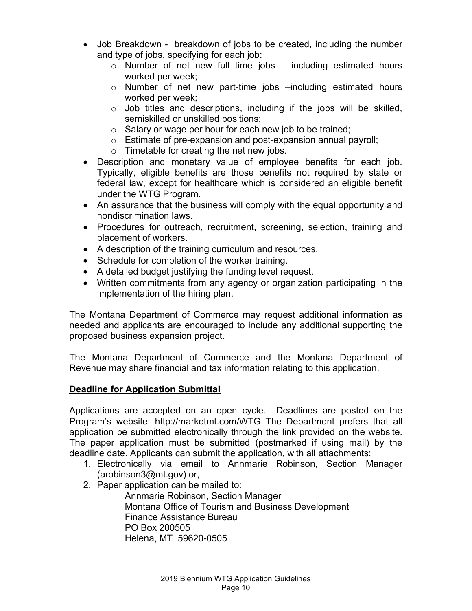- Job Breakdown breakdown of jobs to be created, including the number and type of jobs, specifying for each job:
	- $\circ$  Number of net new full time jobs including estimated hours worked per week;
	- o Number of net new part-time jobs –including estimated hours worked per week;
	- $\circ$  Job titles and descriptions, including if the jobs will be skilled, semiskilled or unskilled positions;
	- o Salary or wage per hour for each new job to be trained;
	- o Estimate of pre-expansion and post-expansion annual payroll;
	- o Timetable for creating the net new jobs.
- Description and monetary value of employee benefits for each job. Typically, eligible benefits are those benefits not required by state or federal law, except for healthcare which is considered an eligible benefit under the WTG Program.
- An assurance that the business will comply with the equal opportunity and nondiscrimination laws.
- Procedures for outreach, recruitment, screening, selection, training and placement of workers.
- A description of the training curriculum and resources.
- Schedule for completion of the worker training.
- A detailed budget justifying the funding level request.
- Written commitments from any agency or organization participating in the implementation of the hiring plan.

The Montana Department of Commerce may request additional information as needed and applicants are encouraged to include any additional supporting the proposed business expansion project.

The Montana Department of Commerce and the Montana Department of Revenue may share financial and tax information relating to this application.

### <span id="page-9-0"></span>**Deadline for Application Submittal**

Applications are accepted on an open cycle. Deadlines are posted on the Program's website: http://marketmt.com/WTG The Department prefers that all application be submitted electronically through the link provided on the website. The paper application must be submitted (postmarked if using mail) by the deadline date. Applicants can submit the application, with all attachments:

- 1. Electronically via email to Annmarie Robinson, Section Manager (arobinson3@mt.gov) or,
- 2. Paper application can be mailed to:

Annmarie Robinson, Section Manager Montana Office of Tourism and Business Development Finance Assistance Bureau PO Box 200505 Helena, MT 59620-0505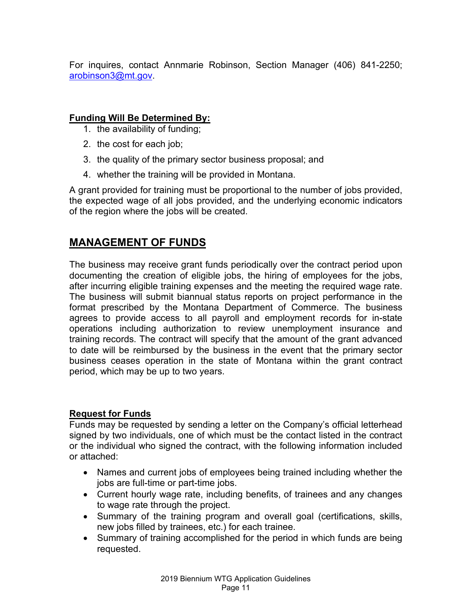For inquires, contact Annmarie Robinson, Section Manager (406) 841-2250; [arobinson3@mt.gov.](mailto:arobinson3@mt.gov)

### <span id="page-10-0"></span>**Funding Will Be Determined By:**

- 1. the availability of funding;
- 2. the cost for each job;
- 3. the quality of the primary sector business proposal; and
- 4. whether the training will be provided in Montana.

A grant provided for training must be proportional to the number of jobs provided, the expected wage of all jobs provided, and the underlying economic indicators of the region where the jobs will be created.

## <span id="page-10-1"></span>**MANAGEMENT OF FUNDS**

The business may receive grant funds periodically over the contract period upon documenting the creation of eligible jobs, the hiring of employees for the jobs, after incurring eligible training expenses and the meeting the required wage rate. The business will submit biannual status reports on project performance in the format prescribed by the Montana Department of Commerce. The business agrees to provide access to all payroll and employment records for in-state operations including authorization to review unemployment insurance and training records. The contract will specify that the amount of the grant advanced to date will be reimbursed by the business in the event that the primary sector business ceases operation in the state of Montana within the grant contract period, which may be up to two years.

#### <span id="page-10-2"></span>**Request for Funds**

Funds may be requested by sending a letter on the Company's official letterhead signed by two individuals, one of which must be the contact listed in the contract or the individual who signed the contract, with the following information included or attached:

- Names and current jobs of employees being trained including whether the jobs are full-time or part-time jobs.
- Current hourly wage rate, including benefits, of trainees and any changes to wage rate through the project.
- Summary of the training program and overall goal (certifications, skills, new jobs filled by trainees, etc.) for each trainee.
- Summary of training accomplished for the period in which funds are being requested.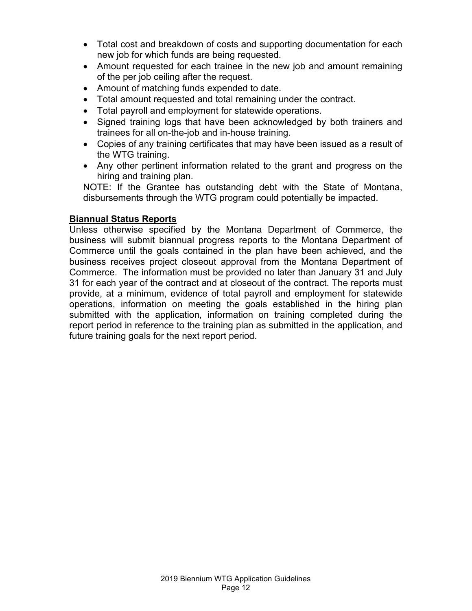- Total cost and breakdown of costs and supporting documentation for each new job for which funds are being requested.
- Amount requested for each trainee in the new job and amount remaining of the per job ceiling after the request.
- Amount of matching funds expended to date.
- Total amount requested and total remaining under the contract.
- Total payroll and employment for statewide operations.
- Signed training logs that have been acknowledged by both trainers and trainees for all on-the-job and in-house training.
- Copies of any training certificates that may have been issued as a result of the WTG training.
- Any other pertinent information related to the grant and progress on the hiring and training plan.

NOTE: If the Grantee has outstanding debt with the State of Montana, disbursements through the WTG program could potentially be impacted.

#### <span id="page-11-0"></span>**Biannual Status Reports**

Unless otherwise specified by the Montana Department of Commerce, the business will submit biannual progress reports to the Montana Department of Commerce until the goals contained in the plan have been achieved, and the business receives project closeout approval from the Montana Department of Commerce. The information must be provided no later than January 31 and July 31 for each year of the contract and at closeout of the contract. The reports must provide, at a minimum, evidence of total payroll and employment for statewide operations, information on meeting the goals established in the hiring plan submitted with the application, information on training completed during the report period in reference to the training plan as submitted in the application, and future training goals for the next report period.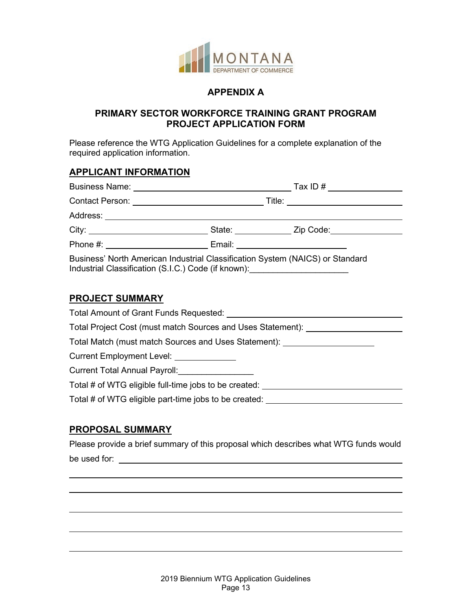

#### **APPENDIX A**

#### **PRIMARY SECTOR WORKFORCE TRAINING GRANT PROGRAM PROJECT APPLICATION FORM**

<span id="page-12-0"></span>Please reference the WTG Application Guidelines for a complete explanation of the required application information.

#### **APPLICANT INFORMATION**

|                                                                                                                                                                   |                                       |  | Tax ID # $\frac{1}{2}$ $\frac{1}{2}$ $\frac{1}{2}$ $\frac{1}{2}$ $\frac{1}{2}$ $\frac{1}{2}$ $\frac{1}{2}$ $\frac{1}{2}$ $\frac{1}{2}$ $\frac{1}{2}$ $\frac{1}{2}$ $\frac{1}{2}$ $\frac{1}{2}$ $\frac{1}{2}$ $\frac{1}{2}$ $\frac{1}{2}$ $\frac{1}{2}$ $\frac{1}{2}$ $\frac{1}{2}$ $\frac{1}{2}$ $\frac{1}{2}$ $\$ |
|-------------------------------------------------------------------------------------------------------------------------------------------------------------------|---------------------------------------|--|--------------------------------------------------------------------------------------------------------------------------------------------------------------------------------------------------------------------------------------------------------------------------------------------------------------------|
|                                                                                                                                                                   | Title: ______________________________ |  |                                                                                                                                                                                                                                                                                                                    |
| Address: _____________________________                                                                                                                            |                                       |  |                                                                                                                                                                                                                                                                                                                    |
|                                                                                                                                                                   |                                       |  | State: Zip Code:                                                                                                                                                                                                                                                                                                   |
|                                                                                                                                                                   | Email:                                |  |                                                                                                                                                                                                                                                                                                                    |
| Business' North American Industrial Classification System (NAICS) or Standard<br>Industrial Classification (S.I.C.) Code (if known): ____________________________ |                                       |  |                                                                                                                                                                                                                                                                                                                    |

#### **PROJECT SUMMARY**

| Total Amount of Grant Funds Requested:                      |
|-------------------------------------------------------------|
| Total Project Cost (must match Sources and Uses Statement): |
| Total Match (must match Sources and Uses Statement): ___    |
| Current Employment Level:                                   |
| Current Total Annual Payroll:                               |
| Total # of WTG eligible full-time jobs to be created:       |
| Total # of WTG eligible part-time jobs to be created:       |
|                                                             |

## **PROPOSAL SUMMARY**

 $\overline{a}$ 

 $\overline{\phantom{a}}$ 

 $\overline{a}$ 

 $\overline{a}$ 

Please provide a brief summary of this proposal which describes what WTG funds would be used for:  $\blacksquare$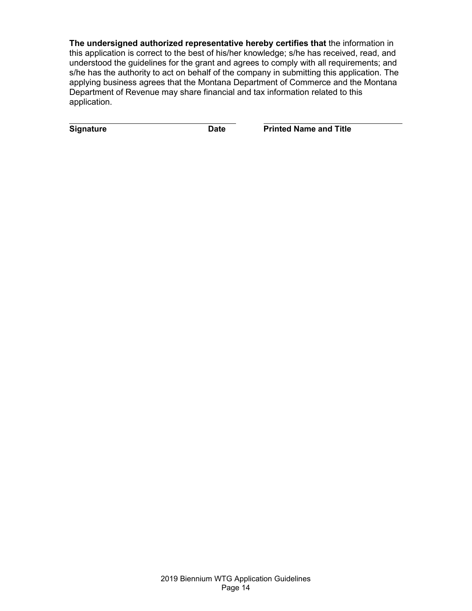**The undersigned authorized representative hereby certifies that** the information in this application is correct to the best of his/her knowledge; s/he has received, read, and understood the guidelines for the grant and agrees to comply with all requirements; and s/he has the authority to act on behalf of the company in submitting this application. The applying business agrees that the Montana Department of Commerce and the Montana Department of Revenue may share financial and tax information related to this application.

**Signature Date** Date Printed Name and Title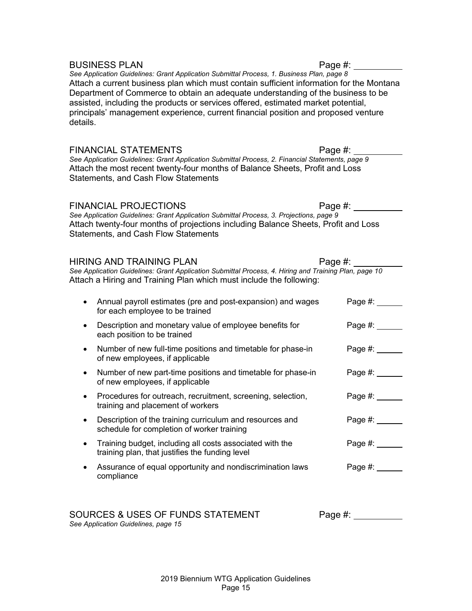details. FINANCIAL STATEMENTS FINANCIAL STATEMENTS *See Application Guidelines: Grant Application Submittal Process, 2. Financial Statements, page 9* Attach the most recent twenty-four months of Balance Sheets, Profit and Loss Statements, and Cash Flow Statements FINANCIAL PROJECTIONS Page #: *See Application Guidelines: Grant Application Submittal Process, 3. Projections, page 9* Attach twenty-four months of projections including Balance Sheets, Profit and Loss Statements, and Cash Flow Statements HIRING AND TRAINING PLAN FRAGIST Page #: *See Application Guidelines: Grant Application Submittal Process, 4. Hiring and Training Plan, page 10* Attach a Hiring and Training Plan which must include the following: • Annual payroll estimates (pre and post-expansion) and wages Page #: for each employee to be trained • Description and monetary value of employee benefits for Page #: each position to be trained • Number of new full-time positions and timetable for phase-in Page #: of new employees, if applicable • Number of new part-time positions and timetable for phase-in Page #: \_\_\_\_\_ of new employees, if applicable • Procedures for outreach, recruitment, screening, selection, Page #: training and placement of workers • Description of the training curriculum and resources and Page #: schedule for completion of worker training • Training budget, including all costs associated with the  $P$ age #: training plan, that justifies the funding level • Assurance of equal opportunity and nondiscrimination laws Page #: 1998 compliance

BUSINESS PLAN Page #: *See Application Guidelines: Grant Application Submittal Process, 1. Business Plan, page 8* Attach a current business plan which must contain sufficient information for the Montana Department of Commerce to obtain an adequate understanding of the business to be assisted, including the products or services offered, estimated market potential, principals' management experience, current financial position and proposed venture

*See Application Guidelines, page 15*

SOURCES & USES OF FUNDS STATEMENT Page #: